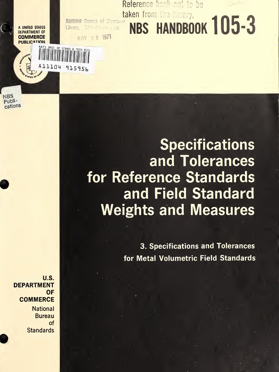taken from the Horary. NBS HANDBOOK 105-3 **National Buread of Standards** ECT AT THE LIDE. Library.

A UNITED STATES **DEPARTMENT OF COMMERCE PHRLICATION** 

2 8 1971

**NBS** Publications

# **Specifications** and Tolerances for Reference Standards and Field Standard **Weights and Measures**

Reference book not to be

3. Specifications and Tolerances for Metal Volumetric Field Standards

U.S. **DEPARTMENT OF COMMERCE National Bureau of Standards** 

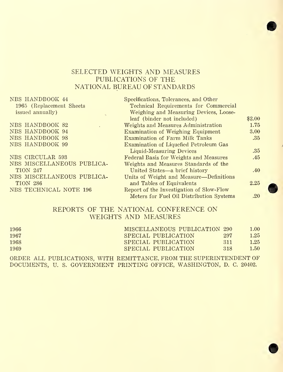## SELECTED WEIGHTS AND MEASURES PUBLICATIONS OF THE NATIONAL BUREAU OF STANDARDS

| NBS HANDBOOK 44              | Specifications, Tolerances, and Other    |        |
|------------------------------|------------------------------------------|--------|
| 1965 (Replacement Sheets     | Technical Requirements for Commercial    |        |
| issued annually)<br>$\infty$ | Weighing and Measuring Devices, Loose-   |        |
|                              | leaf (binder not included)               | \$2.00 |
| NBS HANDBOOK 82              | Weights and Measures Administration      | 1.75   |
| NBS HANDBOOK 94              | Examination of Weighing Equipment        | 3.00   |
| NBS HANDBOOK 98              | <b>Examination of Farm Milk Tanks</b>    | .35    |
| NBS HANDBOOK 99              | Examination of Liquefied Petroleum Gas   |        |
|                              | Liquid-Measuring Devices                 | .35    |
| NBS CIRCULAR 593             | Federal Basis for Weights and Measures   | .45    |
| NBS MISCELLANEOUS PUBLICA-   | Weights and Measures Standards of the    |        |
| <b>TION 247</b>              | United States—a brief history            | .40    |
| NBS MISCELLANEOUS PUBLICA-   | Units of Weight and Measure—Definitions  |        |
| <b>TION 286</b>              | and Tables of Equivalents                | 2.25   |
| NBS TECHNICAL NOTE 196       | Report of the Investigation of Slow-Flow |        |
|                              | Meters for Fuel Oil Distribution Systems | .20    |
|                              |                                          |        |

## REPORTS OF THE NATIONAL CONFERENCE ON WEIGHTS AND MEASURES

| 1966 | MISCELLANEOUS PUBLICATION 290 |      | $1.00\,$ |
|------|-------------------------------|------|----------|
| 1967 | SPECIAL PUBLICATION           | 297  | 1.25     |
| 1968 | SPECIAL PUBLICATION           | -311 | 1.25     |
| 1969 | SPECIAL PUBLICATION           | -318 | 1.50     |

ORDER ALL PUBLICATIONS, WITH REMITTANCE, FROM THE SUPERINTENDENT OF DOCUMENTS, U. S. GOVERNMENT PRINTING OFFICE, WASHINGTON, D. C. 20402.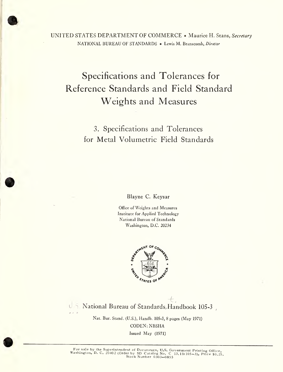UNITED STATES DEPARTMENT OF COMMERCE . Maurice H. Stans, Secretary NATIONAL BUREAU OF STANDARDS . Lewis M. Branscomb, Director

## Specifications and Tolerances for Reference Standards and Field Standard Weights and Measures

## 3. Specifications and Tolerances for Metal Volumetric Field Standards

Blayne C. Keysar

Office of Weights and Measures Institute for Applied Technology National Bureau of Standards Washington, D.C. 20234



 $\overline{\mathcal{C}}$ , National Bureau of Standards.Handbook 105-3 Nat. Bur. Stand. (U.S.), Handb. 105-3, 8 pages (May 1971) CODEN: NBSHA

Issued May (1971)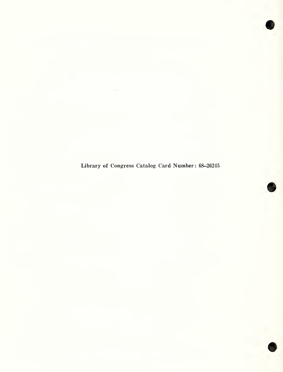Library of Congress Catalog Card Number: 68-26245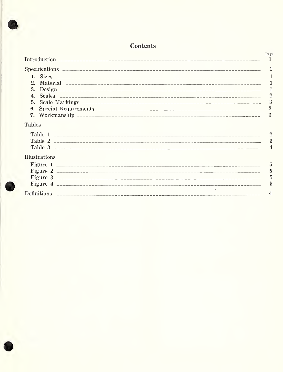## **Contents**

| <b>Contents</b> |                                                        |
|-----------------|--------------------------------------------------------|
|                 | Page<br>1                                              |
|                 | 1                                                      |
| 1. Sizes<br>2.  | 1<br>$\mathbf{1}$                                      |
| 3.<br>4.        | $\mathbf{1}$<br>$\boldsymbol{2}$                       |
|                 | $\overline{3}$                                         |
| 6.              | $\sqrt{3}$<br>3                                        |
| Tables          |                                                        |
|                 | $\boldsymbol{2}$<br>$\rm 3$<br>$\overline{\mathbf{4}}$ |
| Illustrations   |                                                        |
| Figure 1        | $5\,$<br>$\bf 5$                                       |
|                 | $\overline{5}$<br>$\overline{5}$                       |
|                 | 4                                                      |
|                 |                                                        |
|                 |                                                        |
|                 |                                                        |
|                 |                                                        |
|                 |                                                        |
|                 |                                                        |
|                 |                                                        |

## Tables

| Table 1     |  |
|-------------|--|
| Table 2     |  |
| Table 3     |  |
| lustrations |  |

## $\overline{1}$

| $\mathop{\mathrm{Defin}}\nolimits$ | <u>an anns an cheangailteachad anns an </u> |  |
|------------------------------------|---------------------------------------------|--|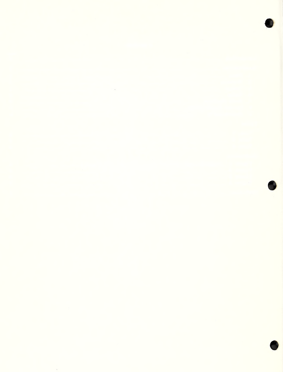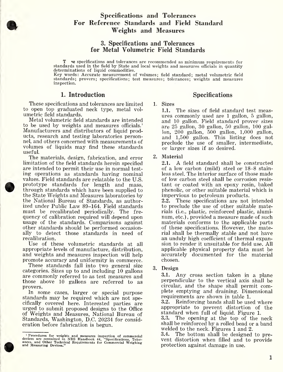### Specifications and Tolerances For Reference Standards and Field Standard Weights and Measures

#### 3. Specifications and Tolerances for Metal Volumetric Field Standards

T se specifications and tolerances are recommended as minimum requirements for standards used in the field by State and local weights and measures officials in quantity determinations of liquid commodities.

Key words: Accurate measurement of volumes; field standard; metal volumetric field standards; provers; specifications; test measures; tolerances; weights and measures inspection.

#### 1. Introduction

These specifications and tolerances are limited to open top graduated neck type, metal volumetric field standards.

Metal volumetric field standards are intended to be used by weights and measures officials.<sup>1</sup> Manufacturers and distributors of liquid products, research and testing laboratories personnel, and others concerned with measurements of volumes of liquids may find these standards useful.

The materials, design, fabrication, and error limitation of the field standards herein specified are intended to permit their use in normal testing operations as standards having nominal values. Field standards are relatable to the U.S. prototype standards for length and mass, through standards which have been supplied to the State Weights and Measures laboratories by the National Bureau of Standards, as authorized under Public Law 89-164. Field standards must be recalibrated periodically. The frequency of calibration required will depend upon usage of the standards. Comparisons against other standards should be performed occasionally to detect those standards in need of recalibration.

Use of these volumetric standards at all appropriate levels of manufacture, distribution, and weights and measures inspection will help promote accuracy and uniformity in commerce.

These standards fall into two general size categories. Sizes up to and including 10 gallons are commonly referred to as test measures and those above 10 gallons are referred to as provers.

In some cases, larger or special purpose standards may be required which are not specifically covered here. Interested parties are urged to submit proposed designs to the Office of Weights and Measures, National Bureau of Standards, Washington, D.C. 20234 for consid eration before fabrication is begun.

### Specifications

#### 1. Sizes

1.1. The sizes of field standard test measures commonly used are <sup>1</sup> gallon, 5 gallon, and 10 gallon. Field standard prover sizes are  $25$  gallon,  $30$  gallon,  $50$  gallon,  $100$  gallon, 200 gallon, 500 gallon, 1,000 gallon, and 1,500 gallon. This listing does not preclude the use of smaller, intermediate, or larger sizes if so desired.

#### 2. Material

2.1. A field standard shall be constructed of a low carbon (mild) steel or  $18-8$  stainless steel. The interior surface of those made of low carbon steel shall be corrosion resistant or coated with an epoxy resin, baked phenolic, or other suitable material which is impervious to petroleum products.

2.2. These specifications are not intended to preclude the use of other suitable materials (i.e., plastic, reinforced plastic, aluminum, etc.), provided a measure made of such materials conforms to the applicable parts of these specifications. However, the material shall be thermally stable and not have an unduly high coefficient of thermal expansion to render it unsuitable for field use. All applicable physical property data must be accurately documented for the material chosen.

3. Design

3.1. Any cross section taken in a plane perpendicular to the vertical axis shall be circular, and the shape shall permit com plete emptying and draining. Dimensional requirements are shown in table 1.

3.2. Reinforcing bands shall be used where appropriate to prevent distortion of the standard when full of liquid. Figure 1.<br>3.3. The opening at the top of the

The opening at the top of the neck shall be reinforced by a rolled bead or a band welded to the neck. Figures 1 and 2.<br>3.4. The bottom shall be designed

The bottom shall be designed to prevent distortion when filled and to provide protection against damage in use.

<sup>&</sup>lt;sup>1</sup> Procedures for weights and measures inspection of commercial<br>devices are contained in NBS Handbook 44, "Specifications, Toler-<br>ances, and Other Technical Requirements for Commercial Weighing ances, and Other Techn<br>and Measuring Devices."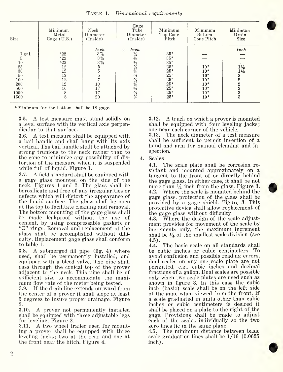|                                                                              | Minimum<br>Metal                                                                               | Neck<br>Diameter                                                         | Gage<br>Tube<br>Diameter | Minimum<br>Top Cone                                                                         | Minimum<br>Bottom                                                                                                                              | Minimum<br>Drain                                 |
|------------------------------------------------------------------------------|------------------------------------------------------------------------------------------------|--------------------------------------------------------------------------|--------------------------|---------------------------------------------------------------------------------------------|------------------------------------------------------------------------------------------------------------------------------------------------|--------------------------------------------------|
| Size                                                                         | Gage (U.S.)                                                                                    | (Inside)                                                                 | (Inside)                 | Pitch                                                                                       | Cone Pitch                                                                                                                                     | Size                                             |
| 1 gal.<br>Ð<br>10<br>25<br>$30\,$<br>50<br>100<br>200<br>500<br>1000<br>1500 | 822<br>$\underset{^\mathrm{a}22}{^\mathrm{a}22}$<br>12<br>12<br>12<br>12<br>12<br>10<br>8<br>8 | Inch<br>$3\,\%$<br>$3\%$<br>$3\%$<br>b<br>5<br>5<br>10<br>17<br>17<br>20 | Inch<br>经经验赔偿赔偿赔偿        | 35°<br>35°<br>$\frac{35}{25}$ °<br>25°<br>25°<br>25°<br>25°<br>25°<br>$25^{\,\circ}$<br>25° | 10 <sup>o</sup><br>10 <sup>o</sup><br>10 <sup>o</sup><br>10 <sup>o</sup><br>10 <sup>°</sup><br>10 <sup>o</sup><br>$10^{\circ}$<br>$10^{\circ}$ | Inch<br>$\frac{11}{11}$<br>2<br>2<br>3<br>3<br>3 |

TABLE 1. Dimensional requirements

<sup>a</sup> Minimum for the bottom shall be 18 gage.

3.5. A test measure must stand solidly on a level surface with its vertical axis perpendicular to that surface.

3.6. A test measure shall be equipped with a bail handle and shall hang with its axis vertical. The bail handle shall be attached by strong trunions to the neck rather than to the cone to minimize any possibility of distortion of the measure when it is suspended while full of liquid. Figure 1.

3.7. A field standard shall be equipped with a gage glass mounted on the side of the neck. Figures <sup>1</sup> and 2. The glass shall be borosilicate and free of any irregularities or defects which will distort the appearance of the liquid surface. The glass shall be open at the top to facilitate cleaning and removal. The bottom mounting of the gage glass shall be made leakproof without the use of cement, by using compressable gaskets or "O" rings. Removal and replacement of the glass shall be accomplished without difficulty. Replacement gage glass shall conform to table 1.

3.8. A submerged fill pipe (fig. 4) where used, shall be permanently installed, and equipped with a bleed valve. The pipe shall pass through the conical top of the prover adjacent to the neck. This pipe shall be of sufficient size to accommodate the maximum flow rate of the meter being tested.

3.9. If the drain line extends outward from the center of a prover it shall slope at least 5 degrees to insure proper drainage. Figure 2.

3.10. A prover not permanently installed shall be equipped with three adjustable legs for leveling. Figure 2.

3.11. A two wheel trailer used for mounting a prover shall be equipped with three leveling jacks; two at the rear and one at the front near the hitch. Figure 4.

3.12. A truck on which a prover is mounted shall be equipped with four leveling jacks; one near each corner of the vehicle.

3.13. The neck diameter of a test measure shall be sufficient to permit insertion of a hand and arm for manual cleaning and inspection.

#### 4. Scales

4.1. The scale plate shall be corrosion resistant and mounted approximately on a tangent to the front of or directly behind the gage glass. In either case, it shall be not more than  $\frac{1}{4}$  inch from the glass. Figure 3.<br>4.2. Where the scale is mounted behind the Where the scale is mounted behind the gage glass, protection of the glass shall be provided by a gage shield. Figure 3. This protective device shall allow replacement of the gage glass without difficulty.

4.3. Where the design of the scale adjustment provides for movement of the scale by increments only, the maximum increment shall be  $\frac{1}{4}$  of the smallest scale division (see 4.5).

4.4. The basic scale on all standards shall be cubic inches or cubic centimeters. To avoid confusion and possible reading errors, dual scales on any one scale plate are not permitted, e.g., cubic inches and decimal fractions of a gallon. Dual scales are possible only when two scale plates are used such as shown in figure 3. In this case the cubic inch (basic) scale shall be on the left side of the gage when viewed from the front. If a scale graduated in units other than cubic inches or cubic centimeters is desired it shall be placed on a plate to the right of the gage. Provisions shall be made to adjust each of the scales individually so the two zero lines lie in the same plane.

4.5. The minimum distance between basic scale graduation lines shall be 1/16 (0.0625 inch).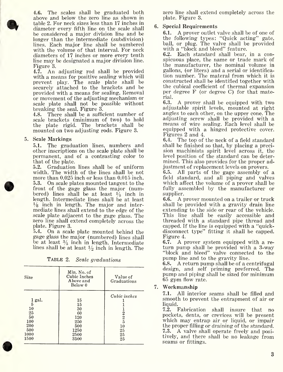4.6. The scales shall be graduated both above and below the zero line as shown in table 2. For neck sizes less than 17 inches in diameter every fifth line on the scale shall be considered a major division line and be longer than the intermediate (subdivision) lines. Each major line shall be numbered with the volume of that interval. For neck diameters of 17 inches or more every tenth line may be designated a major division line. Figure 3.

4.7. An adjusting rod shall be provided with a means for positive sealing which will prevent play. The scale plate shall be securely attached to the brackets and be provided with a means for sealing. Removal or movement of the adjusting mechanism or scale plate shall not be possible without breaking the seal. Figure 3.

4.8. There shall be a sufficient number of scale brackets (minimum of two) to hold the plate rigid. The brackets shall be mounted on two adjusting rods. Figure 3.

#### 5. Scale Markings

5.1. The graduation lines, numbers and other inscriptions on the scale plate shall be permanent, and of a contrasting color to that of the plate.

5.2. Graduation lines shall be of uniform width. The width of the lines shall be not more than 0.025 inch or less than 0.015 inch. 5.3. On scale plates mounted tangent to the front of the gage glass the major (num bered) lines shall be at least  $\frac{1}{4}$  inch in length. Intermediate lines shall be at least  $\frac{1}{8}$  inch in length. The major and intermediate lines shall extend to the edge of the scale plate adjacent to the gage glass. The zero line shall extend completely across the plate. Figure 3.

5.4. On a scale plate mounted behind the gage glass the major (numbered) lines shall be at least  $\frac{3}{4}$  inch in length. Intermediate lines shall be at least  $\frac{1}{2}$  inch in length. The

TABLE 2. Scale graduations

| Size                                                               | Min. No. of<br><b>Cubic Inches</b><br>Above and<br>Below 0        | Value of<br>Graduations                                      |
|--------------------------------------------------------------------|-------------------------------------------------------------------|--------------------------------------------------------------|
| 1 gal.<br>5<br>10<br>25<br>50<br>100<br>200<br>500<br>1000<br>1500 | 15<br>15<br>30<br>60<br>120<br>250<br>500<br>1250<br>2500<br>3500 | <i>Cubic inches</i><br>$\frac{2}{2}$<br>10<br>25<br>25<br>25 |

zero line shall extend completely across the plate. Figure 3.

#### 6. Special Requirements

6.1. A prover outlet valve shall be of one of the following types: "Quick acting" gate, ball, or plug. The valve shall be provided with a "block and bleed" feature.

6.2. Each standard shall bear, in a conspicuous place, the name or trade mark of the manufacturer, the nominal volume in gallons, (or liters) and a serial or identification number. The materal from which it is constructed shall be identified together with the cubical coefficient of thermal expansion per degree  $F$  (or degree C) for that mate- $\begin{array}{c} \text{rial.} \\ \textbf{6.3.} \end{array}$ 

6.3. A prover shall be equipped with two adjustable spirit levels, mounted at right angles to each other, on the upper cone. The adjusting screw shall be provided with a means of wire sealing. Each level shall be equipped with a hinged protective cover. Figures 2 and 4.

6.4. The top of the neck of a field standard shall be finished so that, by placing a precision machinists spirit level across it, the level position of the standard can be determined. This also provides for the proper adjustment of replacement levels on provers.

6.5. All parts of the gage assembly of a field standard, and all piping and valves which affect the volume of a prover shall be fully assembled by the manufacturer or supplier.

6.6. A prover mounted on a trailer or truck shall be provided with a gravity drain line extending to the side or rear of the vehicle. This line shall be easily accessible and threaded with a standard pipe thread and capped. If the line is equipped with a "quickdisconnect type" fitting it shall be capped. Figure 4.

6.7. A prover system equipped with a return pump shall be provided with a 3-way "block and bleed" valve connected to the pump line and to the gravity line.

<sup>6</sup>.8. A return pump shall be of a centrifugal design, and self priming preferred. The pump and piping shall be sized for minimum 65 gpm flow rate.

#### 7. Workmanship

7.1. All interior seams shall be filled and smooth to prevent the entrapment of air or liquid.

7.2. Fabrication shall insure that no pockets, dents, or crevices will be present which may entrap air or liquid, or impair the proper filling or draining of the standard. 7.3. A valve shall operate freely and positively, and there shall be no leakage from seams or fittings.

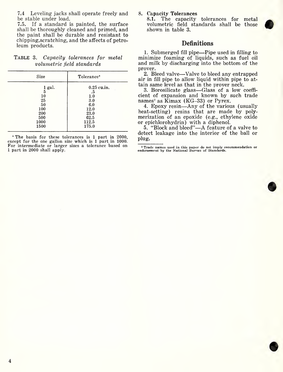7.4 Leveling jacks shall operate freely and be stable under load.

7.5. If a standard is painted, the surface shall be thoroughly cleaned and primed, and the paint shall be durable and resistant to chipping, scratching, and the affects of petroleum products.

|  | TABLE 3. Capacity tolerances for metal |  |
|--|----------------------------------------|--|
|  | volumetric field standards             |  |

| <b>Size</b> | Tolerance <sup>®</sup> |
|-------------|------------------------|
| $1$ gal.    | $0.25$ cu.in.          |
| 5           | .5                     |
| 10          | 1.0                    |
| 25          | 3.0                    |
| 50          | 6.0                    |
| 100         | 12.0                   |
| 200         | 23.0                   |
| 500         | 62.5                   |
| 1000        | 112.5                  |
| 1500        | 175.0                  |

" The basis for these tolerances is <sup>1</sup> part in 2000, except for the one gallon size which is <sup>1</sup> part in 1000. For intermediate or larger sizes a tolerance based on <sup>1</sup> part in 2000 shall apply.

#### 8. Capacity Tolerances

8.1. The capacity tolerances for metal volumetric field standards shall be those shown in table 3.

### **Definitions**

1. Submerged fill pipe—Pipe used in filling to minimize foaming of liquids, such as fuel oil and milk by discharging into the bottom of the prover.

2. Bleed valve—Valve to bleed any entrapped air in fill pipe to allow liquid within pipe to attain same level as that in the prover neck.

3. Borosilicate glass—Glass of a low coefficient of expansion and known by such trade names<sup>2</sup> as Kimax (KG-33) or Pyrex.

4. Epoxy resin—Any of the various (usually heat-setting) resins that are made by polymerization of an epoxide (e.g., ethylene oxide or epichlorohydrin) with a diphenol.

5. "Block and bleed"—A feature of a valve to detect leakage into the interior of the ball or plug.



<sup>2</sup> Trade names used in this paper do not imply recommendation or endorsement by the National Bureau of Standards.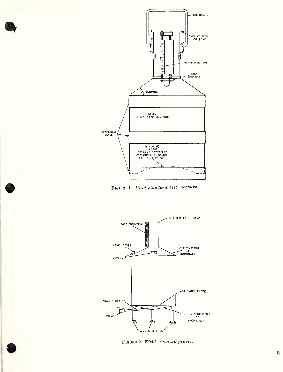





Figure 2. Field standard prover.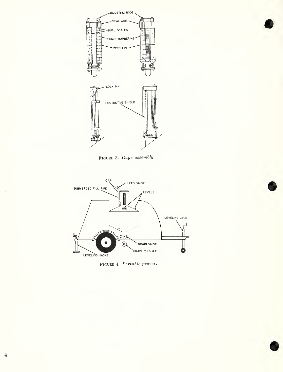

FIGURE 3. Gage assembly.



Figure 4. Portable prover.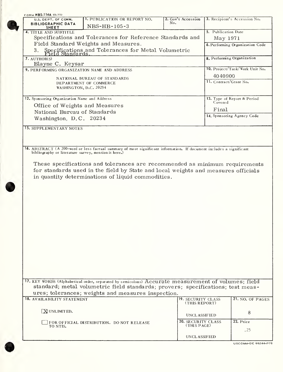| U.S. DEPT. OF COMM.                                  |                                                                                                                      |                           |                            |                                 |
|------------------------------------------------------|----------------------------------------------------------------------------------------------------------------------|---------------------------|----------------------------|---------------------------------|
| <b>BIBLIOGRAPHIC DATA</b><br><b>SHEET</b>            | <b>1. PUBLICATION OR REPORT NO.</b><br>$NBS-HB-105-3$                                                                | 2. Gov't Accession<br>No. |                            | 3. Recipient's Accession No.    |
| 4. TITLE AND SUBTITLE                                |                                                                                                                      |                           | 5. Publication Date        |                                 |
|                                                      | Specifications and Tolerances for Reference Standards and                                                            |                           | May 1971                   |                                 |
|                                                      | Field Standard Weights and Measures.                                                                                 |                           |                            | 6. Performing Organization Code |
| 3.                                                   | Specifications and Tolerances for Metal Volumetric<br>Field Standards.                                               |                           |                            |                                 |
| 7. AUTHOR(S)<br>Blayne C. Keysar                     |                                                                                                                      |                           | 8. Performing Organization |                                 |
| 9. PERFORMING ORGANIZATION NAME AND ADDRESS          |                                                                                                                      |                           |                            | 10. Project/Task/Work Unit No.  |
|                                                      | NATIONAL BUREAU OF STANDARDS                                                                                         |                           | 4040900                    |                                 |
| WASHINGTON, D.C. 20234                               | DEPARTMENT OF COMMERCE                                                                                               |                           | 11. Contract/Grant No.     |                                 |
| 12. Sponsoring Organization Name and Address         |                                                                                                                      |                           | Covered                    | 13. Type of Report & Period     |
| Office of Weights and Measures                       |                                                                                                                      |                           |                            |                                 |
| National Bureau of Standards                         |                                                                                                                      |                           | Final                      |                                 |
| Washington, D.C. 20234                               |                                                                                                                      |                           |                            | 14. Sponsoring Agency Code      |
| <b>15. SUPPLEMENTARY NOTES</b>                       |                                                                                                                      |                           |                            |                                 |
| bibliography or literature survey, mention it here.) | 16. ABSTRACT (A 200-word or less factual summary of most significant information. If document includes a significant |                           |                            |                                 |
|                                                      |                                                                                                                      |                           |                            |                                 |
|                                                      | These specifications and tolerances are recommended as minimum requirements                                          |                           |                            |                                 |
|                                                      | for standards used in the field by State and local weights and measures officials                                    |                           |                            |                                 |
|                                                      | in quantity determinations of liquid commodities.                                                                    |                           |                            |                                 |
|                                                      |                                                                                                                      |                           |                            |                                 |
|                                                      |                                                                                                                      |                           |                            |                                 |
|                                                      |                                                                                                                      |                           |                            |                                 |
|                                                      |                                                                                                                      |                           |                            |                                 |
|                                                      |                                                                                                                      |                           |                            |                                 |
|                                                      |                                                                                                                      |                           |                            |                                 |
|                                                      |                                                                                                                      |                           |                            |                                 |
|                                                      |                                                                                                                      |                           |                            |                                 |
|                                                      |                                                                                                                      |                           |                            |                                 |
|                                                      |                                                                                                                      |                           |                            |                                 |
|                                                      |                                                                                                                      |                           |                            |                                 |
|                                                      |                                                                                                                      |                           |                            |                                 |
|                                                      |                                                                                                                      |                           |                            |                                 |
|                                                      |                                                                                                                      |                           |                            |                                 |
|                                                      |                                                                                                                      |                           |                            |                                 |
|                                                      |                                                                                                                      |                           |                            |                                 |
|                                                      |                                                                                                                      |                           |                            |                                 |
|                                                      |                                                                                                                      |                           |                            |                                 |
|                                                      | 17. KEY WORDS (Alphabetical order, separated by semicolons) Accurate measurement of volumes; field                   |                           |                            |                                 |
|                                                      | standard; metal volumetric field standards; provers; specifications; test meas-                                      |                           |                            |                                 |
|                                                      |                                                                                                                      |                           |                            |                                 |
| <b>18. AVAILABILITY STATEMENT</b>                    | ures; tolerances; weights and measures inspection.                                                                   | 19. SECURITY CLASS        |                            | 21. NO. OF PAGES                |
|                                                      |                                                                                                                      | (THIS REPORT)             |                            |                                 |
| $\boxed{\text{X}}$ UNLIMITED.                        |                                                                                                                      | <b>UNCL ASSIFIED</b>      |                            | 8                               |
|                                                      |                                                                                                                      | 20. SECURITY CLASS        |                            | 22. Price                       |
| TO NTIS.                                             | FOR OFFICIAL DISTRIBUTION. DO NOT RELEASE                                                                            | (THIS PAGE)               |                            |                                 |
|                                                      |                                                                                                                      |                           |                            | .25                             |
|                                                      |                                                                                                                      | UNCL ASSIFIED             |                            |                                 |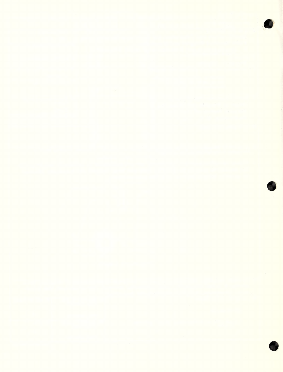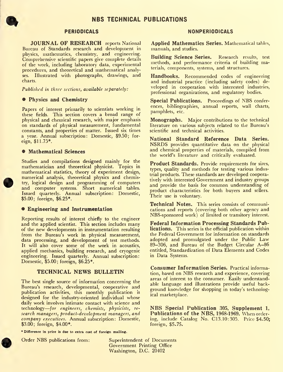#### **PERIODICALS**

JOURNAL OF RESEARCH reports National Bureau of Standards research and development in physics, mathematics, chemistry, and engineering. Comprehensive scientific papers give complete details of the work, including laboratory data, experimental procedures, and theoretical and mathematical analyses. Illustrated with photographs, drawings, and charts.

Published in three sections, available separately:

#### • Physics and Chemistry

Papers of interest primarily to scientists working in these fields. This section covers a broad range of physical and chemical research, with major emphasis on standards of physical measurement, fundamental constants, and properties of matter. Issued six times a vear. Annual subscription: Domestic, \$9.50; foreign, \$11.75\*.

#### • Mathematical Sciences

Studies and compilations designed mainly for the mathematician and theoretical physicist. Topics in mathematical statistics, theory of experiment design, numerical analysis, theoretical physics and chemistry, logical design and programming of computers and computer systems. Short numerical tables. Issued quarterly. Annual subscription: Domestic, \$5.00; foreign, \$6.25\*.

#### • Engineering and Instrumentation

Reporting results of interest chiefly to the engineer and the applied scientist. This section includes many of the new developments in instrumentation resulting from the Bureau's work in physical measurement, data processing, and development of test methods. It will also cover some of the work in acoustics, applied mechanics, building research, and cryogenic engineering. Issued quarterly. Annual subscription: Domestic, \$5.00; foreign, \$6.25\*.

#### TECHNICAL NEWS BULLETIN

The best single source of information concerning the Bureau's research, developmental, cooperative and publication activities, this monthly publication is designed for the industry-oriented individual whose daily work involves intimate contact with science and technology—for engineers, chemists, physicists, research managers, product-development managers, and company executives. Annual subscription: Domestic, \$3.00; foreign, \$4.00\*.

• Difference in price is due to extra cost of foreign mailing.

Order NBS publications from:

#### NONPERIODICALS

Applied Mathematics Series. Mathematical tables, manuals, and studies.

Building Science Series. Research results, test methods, and performance criteria of building ma terials, components, systems, and structures.

Handbooks. Recommended codes of engineering and industrial practice (including safety codes) developed in cooperation with interested industries, professional organizations, and regulatory bodies.

Special Publications. Proceedings of NBS conferences, bibliographies, annual reports, wall charts, pamphlets, etc.

Monographs. Major contributions to the technical literature on various subjects related to the Bureau's scientific and technical activities.

National Standard Reference Data Series. NSRDS provides quantitative data on the physical and chemical properties of materials, compiled from the world's literature and critically evaluated.

Product Standards. Provide requirements for sizes, types, quality and methods for testing various industrial products. These standards are developed cooperatively with interested Government and industry groups and provide the basis for common understanding of product characteristics for both buyers and sellers. Their use is voluntary.

Technical Notes. This series consists of communications and reports (covering both other agency and NBS-sponsored work) of limited or transitory interest.

Federal Information Processing Standards Publications. This series is the official publication within the Federal Government for information on standards adopted and promulgated under the Public Law 89—306, and Bureau of the Budget Circular A-86 entitled, Standardization of Data Elements and Codes in Data Systems.

Consumer Information Series. Practical information, based on NBS research and experience, covering areas of interest to the consumer. Easily understandable language and illustrations provide useful background knowledge for shopping in today's technological marketplace.

NBS Special Publication 305, Supplement 1, Publications of the NBS, 1968-1969. When ordering, include Catalog No. C13.10:305. Price \$4.50; foreign, \$5.75.

Superintendent of Documents Government Printing Office Washington, D.C. 20402